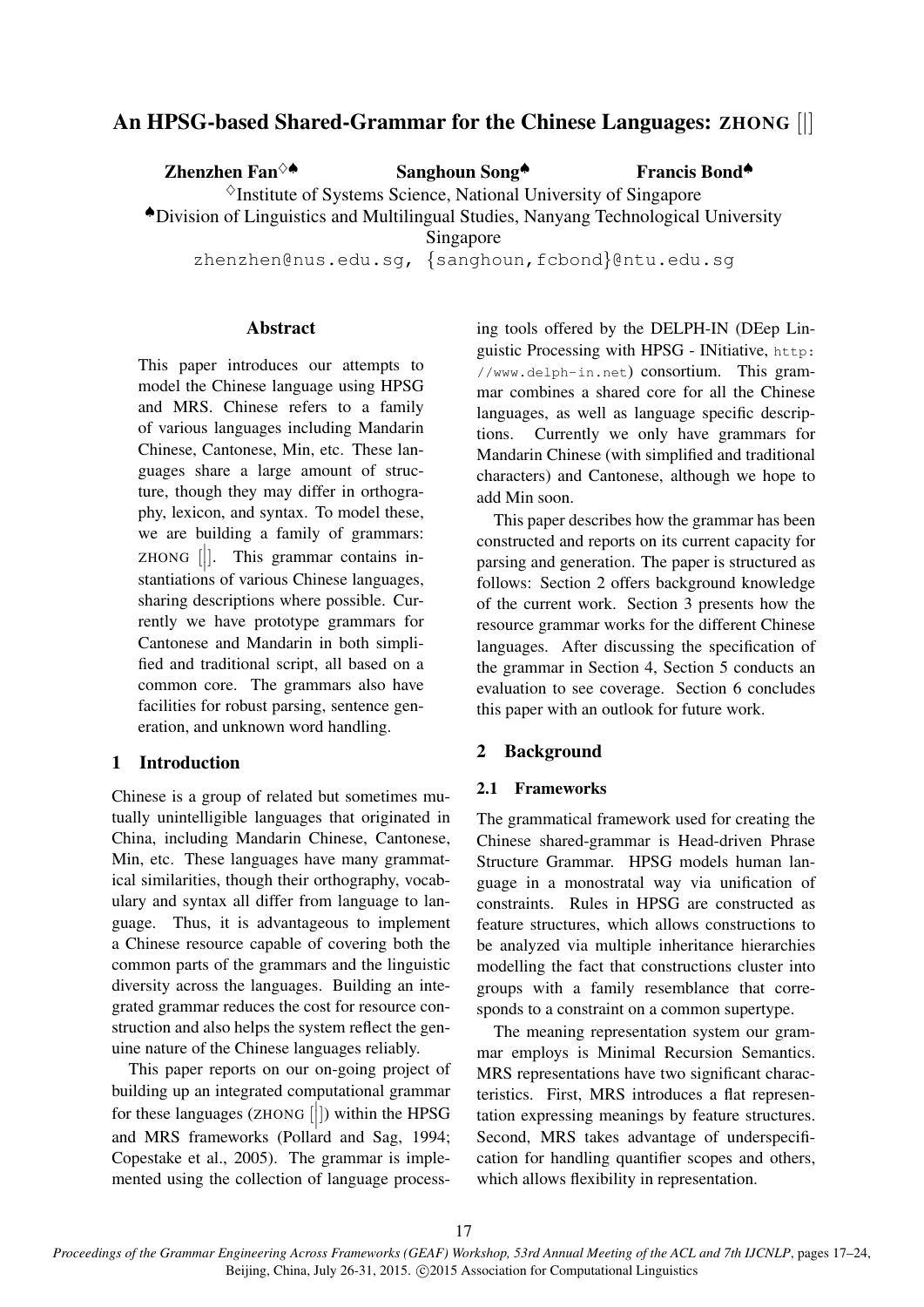## An HPSG-based Shared-Grammar for the Chinese Languages: ZHONG [|]

Zhenzhen Fan $\diamond\spadesuit$  Sanghoun Song $\spadesuit$ 

Francis Bond♠

 $\Diamond$ Institute of Systems Science, National University of Singapore ♠Division of Linguistics and Multilingual Studies, Nanyang Technological University

Singapore

zhenzhen@nus.edu.sq, {sanghoun, fcbond}@ntu.edu.sq

## **Abstract**

This paper introduces our attempts to model the Chinese language using HPSG and MRS. Chinese refers to a family of various languages including Mandarin Chinese, Cantonese, Min, etc. These languages share a large amount of structure, though they may differ in orthography, lexicon, and syntax. To model these, we are building a family of grammars: ZHONG  $\left|\right|$ . This grammar contains instantiations of various Chinese languages, sharing descriptions where possible. Currently we have prototype grammars for Cantonese and Mandarin in both simplified and traditional script, all based on a common core. The grammars also have facilities for robust parsing, sentence generation, and unknown word handling.

## 1 Introduction

Chinese is a group of related but sometimes mutually unintelligible languages that originated in China, including Mandarin Chinese, Cantonese, Min, etc. These languages have many grammatical similarities, though their orthography, vocabulary and syntax all differ from language to language. Thus, it is advantageous to implement a Chinese resource capable of covering both the common parts of the grammars and the linguistic diversity across the languages. Building an integrated grammar reduces the cost for resource construction and also helps the system reflect the genuine nature of the Chinese languages reliably.

This paper reports on our on-going project of building up an integrated computational grammar for these languages (ZHONG  $\begin{bmatrix} \begin{bmatrix} \end{bmatrix} \end{bmatrix}$ ) within the HPSG and MRS frameworks (Pollard and Sag, 1994; Copestake et al., 2005). The grammar is implemented using the collection of language processing tools offered by the DELPH-IN (DEep Linguistic Processing with HPSG - INitiative, http: //www.delph-in.net) consortium. This grammar combines a shared core for all the Chinese languages, as well as language specific descriptions. Currently we only have grammars for Mandarin Chinese (with simplified and traditional characters) and Cantonese, although we hope to add Min soon.

This paper describes how the grammar has been constructed and reports on its current capacity for parsing and generation. The paper is structured as follows: Section 2 offers background knowledge of the current work. Section 3 presents how the resource grammar works for the different Chinese languages. After discussing the specification of the grammar in Section 4, Section 5 conducts an evaluation to see coverage. Section 6 concludes this paper with an outlook for future work.

## 2 Background

## 2.1 Frameworks

The grammatical framework used for creating the Chinese shared-grammar is Head-driven Phrase Structure Grammar. HPSG models human language in a monostratal way via unification of constraints. Rules in HPSG are constructed as feature structures, which allows constructions to be analyzed via multiple inheritance hierarchies modelling the fact that constructions cluster into groups with a family resemblance that corresponds to a constraint on a common supertype.

The meaning representation system our grammar employs is Minimal Recursion Semantics. MRS representations have two significant characteristics. First, MRS introduces a flat representation expressing meanings by feature structures. Second, MRS takes advantage of underspecification for handling quantifier scopes and others, which allows flexibility in representation.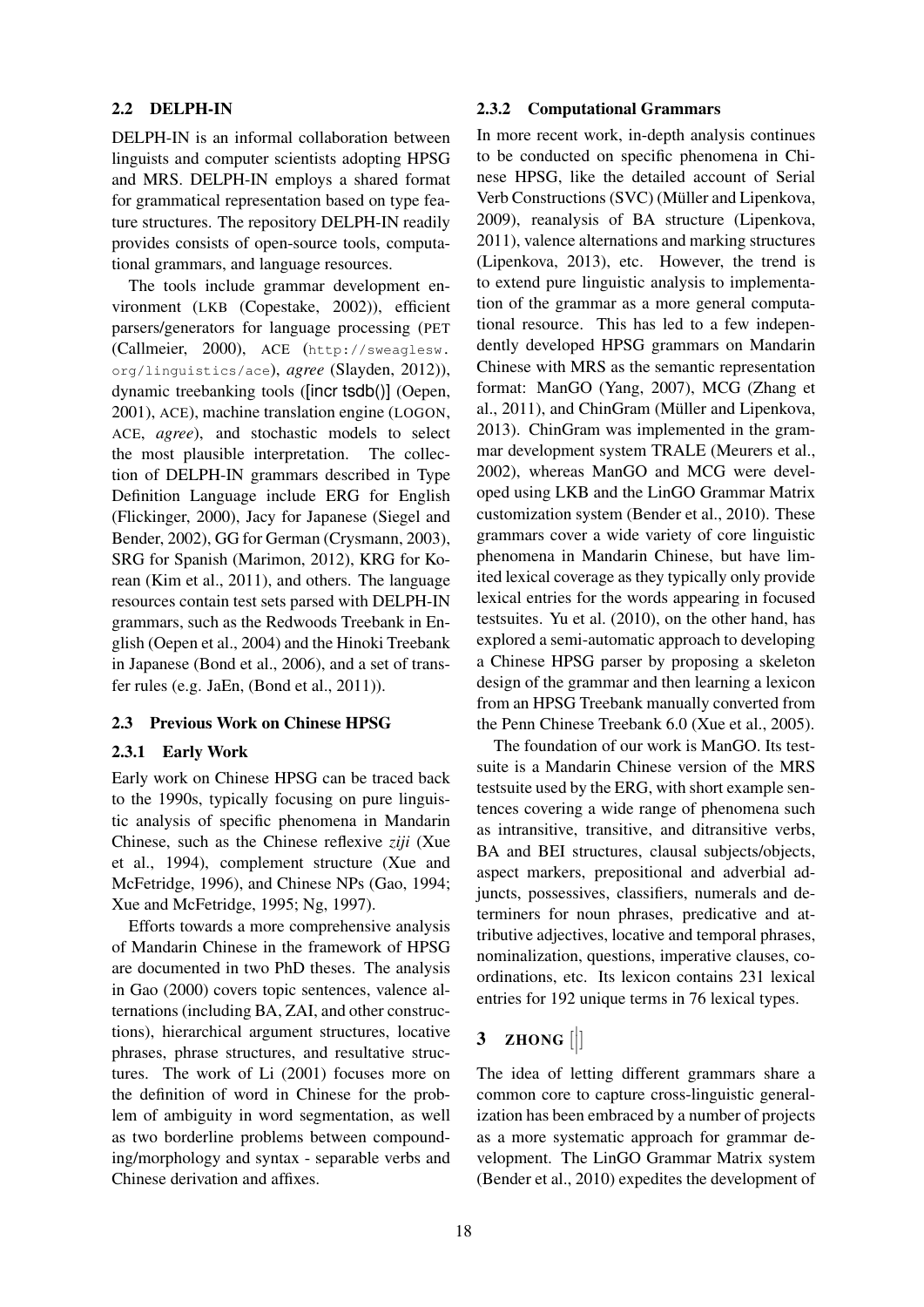## 2.2 DELPH-IN

DELPH-IN is an informal collaboration between linguists and computer scientists adopting HPSG and MRS. DELPH-IN employs a shared format for grammatical representation based on type feature structures. The repository DELPH-IN readily provides consists of open-source tools, computational grammars, and language resources.

The tools include grammar development environment (LKB (Copestake, 2002)), efficient parsers/generators for language processing (PET (Callmeier, 2000), ACE (http://sweaglesw. org/linguistics/ace), *agree* (Slayden, 2012)), dynamic treebanking tools ([incr tsdb()] (Oepen, 2001), ACE), machine translation engine (LOGON, ACE, *agree*), and stochastic models to select the most plausible interpretation. The collection of DELPH-IN grammars described in Type Definition Language include ERG for English (Flickinger, 2000), Jacy for Japanese (Siegel and Bender, 2002), GG for German (Crysmann, 2003), SRG for Spanish (Marimon, 2012), KRG for Korean (Kim et al., 2011), and others. The language resources contain test sets parsed with DELPH-IN grammars, such as the Redwoods Treebank in English (Oepen et al., 2004) and the Hinoki Treebank in Japanese (Bond et al., 2006), and a set of transfer rules (e.g. JaEn, (Bond et al., 2011)).

#### 2.3 Previous Work on Chinese HPSG

#### 2.3.1 Early Work

Early work on Chinese HPSG can be traced back to the 1990s, typically focusing on pure linguistic analysis of specific phenomena in Mandarin Chinese, such as the Chinese reflexive *ziji* (Xue et al., 1994), complement structure (Xue and McFetridge, 1996), and Chinese NPs (Gao, 1994; Xue and McFetridge, 1995; Ng, 1997).

Efforts towards a more comprehensive analysis of Mandarin Chinese in the framework of HPSG are documented in two PhD theses. The analysis in Gao (2000) covers topic sentences, valence alternations (including BA, ZAI, and other constructions), hierarchical argument structures, locative phrases, phrase structures, and resultative structures. The work of Li (2001) focuses more on the definition of word in Chinese for the problem of ambiguity in word segmentation, as well as two borderline problems between compounding/morphology and syntax - separable verbs and Chinese derivation and affixes.

#### 2.3.2 Computational Grammars

In more recent work, in-depth analysis continues to be conducted on specific phenomena in Chinese HPSG, like the detailed account of Serial Verb Constructions (SVC) (Müller and Lipenkova, 2009), reanalysis of BA structure (Lipenkova, 2011), valence alternations and marking structures (Lipenkova, 2013), etc. However, the trend is to extend pure linguistic analysis to implementation of the grammar as a more general computational resource. This has led to a few independently developed HPSG grammars on Mandarin Chinese with MRS as the semantic representation format: ManGO (Yang, 2007), MCG (Zhang et al., 2011), and ChinGram (Müller and Lipenkova, 2013). ChinGram was implemented in the grammar development system TRALE (Meurers et al., 2002), whereas ManGO and MCG were developed using LKB and the LinGO Grammar Matrix customization system (Bender et al., 2010). These grammars cover a wide variety of core linguistic phenomena in Mandarin Chinese, but have limited lexical coverage as they typically only provide lexical entries for the words appearing in focused testsuites. Yu et al. (2010), on the other hand, has explored a semi-automatic approach to developing a Chinese HPSG parser by proposing a skeleton design of the grammar and then learning a lexicon from an HPSG Treebank manually converted from the Penn Chinese Treebank 6.0 (Xue et al., 2005).

The foundation of our work is ManGO. Its testsuite is a Mandarin Chinese version of the MRS testsuite used by the ERG, with short example sentences covering a wide range of phenomena such as intransitive, transitive, and ditransitive verbs, BA and BEI structures, clausal subjects/objects, aspect markers, prepositional and adverbial adjuncts, possessives, classifiers, numerals and determiners for noun phrases, predicative and attributive adjectives, locative and temporal phrases, nominalization, questions, imperative clauses, coordinations, etc. Its lexicon contains 231 lexical entries for 192 unique terms in 76 lexical types.

# 3 ZHONG  $[$

The idea of letting different grammars share a common core to capture cross-linguistic generalization has been embraced by a number of projects as a more systematic approach for grammar development. The LinGO Grammar Matrix system (Bender et al., 2010) expedites the development of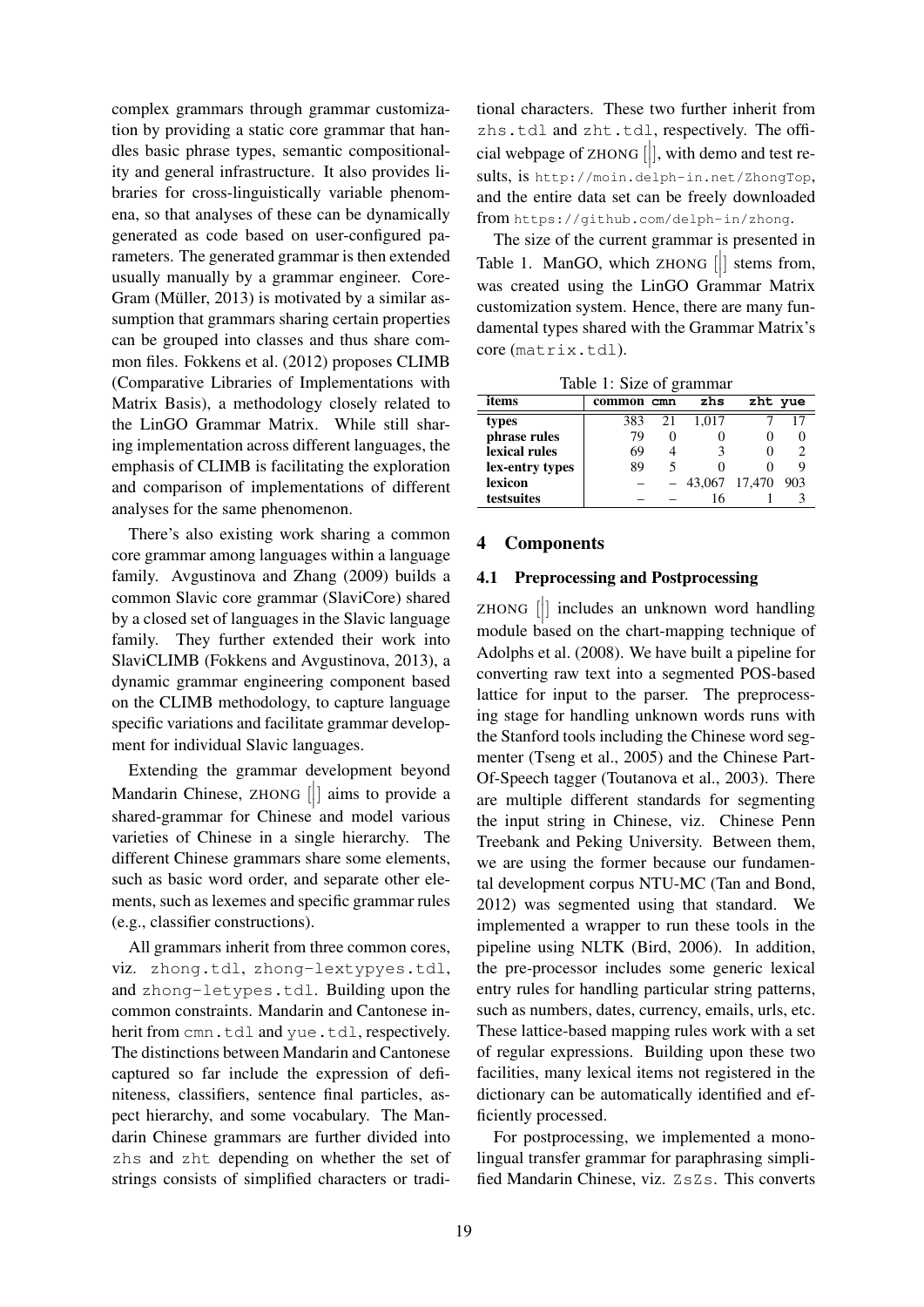complex grammars through grammar customization by providing a static core grammar that handles basic phrase types, semantic compositionality and general infrastructure. It also provides libraries for cross-linguistically variable phenomena, so that analyses of these can be dynamically generated as code based on user-configured parameters. The generated grammar is then extended usually manually by a grammar engineer. Core-Gram (Müller,  $2013$ ) is motivated by a similar assumption that grammars sharing certain properties can be grouped into classes and thus share common files. Fokkens et al. (2012) proposes CLIMB (Comparative Libraries of Implementations with Matrix Basis), a methodology closely related to the LinGO Grammar Matrix. While still sharing implementation across different languages, the emphasis of CLIMB is facilitating the exploration and comparison of implementations of different analyses for the same phenomenon.

There's also existing work sharing a common core grammar among languages within a language family. Avgustinova and Zhang (2009) builds a common Slavic core grammar (SlaviCore) shared by a closed set of languages in the Slavic language family. They further extended their work into SlaviCLIMB (Fokkens and Avgustinova, 2013), a dynamic grammar engineering component based on the CLIMB methodology, to capture language specific variations and facilitate grammar development for individual Slavic languages.

Extending the grammar development beyond Mandarin Chinese, ZHONG [ ] aims to provide a shared-grammar for Chinese and model various varieties of Chinese in a single hierarchy. The different Chinese grammars share some elements, such as basic word order, and separate other elements, such as lexemes and specific grammar rules (e.g., classifier constructions).

All grammars inherit from three common cores, viz. zhong.tdl, zhong-lextypyes.tdl, and zhong-letypes.tdl. Building upon the common constraints. Mandarin and Cantonese inherit from cmn.tdl and yue.tdl, respectively. The distinctions between Mandarin and Cantonese captured so far include the expression of definiteness, classifiers, sentence final particles, aspect hierarchy, and some vocabulary. The Mandarin Chinese grammars are further divided into zhs and zht depending on whether the set of strings consists of simplified characters or traditional characters. These two further inherit from zhs.tdl and zht.tdl, respectively. The official webpage of ZHONG  $[$ ], with demo and test results, is http://moin.delph-in.net/ZhongTop, and the entire data set can be freely downloaded from https://github.com/delph-in/zhong.

The size of the current grammar is presented in Table 1. ManGO, which ZHONG  $\left|\right|$  stems from, was created using the LinGO Grammar Matrix customization system. Hence, there are many fundamental types shared with the Grammar Matrix's core (matrix.tdl).

Table 1: Size of grammar

| items<br>zhs<br>zht yue<br>common cmn<br>383<br>1.017<br>21<br>types<br>phrase rules<br>79<br>lexical rules<br>69<br>89<br>lex-entry types<br>lexicon<br>43,067 17,470 903<br>testsuites |  |  |  |
|------------------------------------------------------------------------------------------------------------------------------------------------------------------------------------------|--|--|--|
|                                                                                                                                                                                          |  |  |  |
|                                                                                                                                                                                          |  |  |  |
|                                                                                                                                                                                          |  |  |  |
|                                                                                                                                                                                          |  |  |  |
|                                                                                                                                                                                          |  |  |  |
|                                                                                                                                                                                          |  |  |  |
|                                                                                                                                                                                          |  |  |  |

## 4 Components

## 4.1 Preprocessing and Postprocessing

 $ZHONG$  [ $||$ ] includes an unknown word handling module based on the chart-mapping technique of Adolphs et al. (2008). We have built a pipeline for converting raw text into a segmented POS-based lattice for input to the parser. The preprocessing stage for handling unknown words runs with the Stanford tools including the Chinese word segmenter (Tseng et al., 2005) and the Chinese Part-Of-Speech tagger (Toutanova et al., 2003). There are multiple different standards for segmenting the input string in Chinese, viz. Chinese Penn Treebank and Peking University. Between them, we are using the former because our fundamental development corpus NTU-MC (Tan and Bond, 2012) was segmented using that standard. We implemented a wrapper to run these tools in the pipeline using NLTK (Bird, 2006). In addition, the pre-processor includes some generic lexical entry rules for handling particular string patterns, such as numbers, dates, currency, emails, urls, etc. These lattice-based mapping rules work with a set of regular expressions. Building upon these two facilities, many lexical items not registered in the dictionary can be automatically identified and efficiently processed.

For postprocessing, we implemented a monolingual transfer grammar for paraphrasing simplified Mandarin Chinese, viz. ZsZs. This converts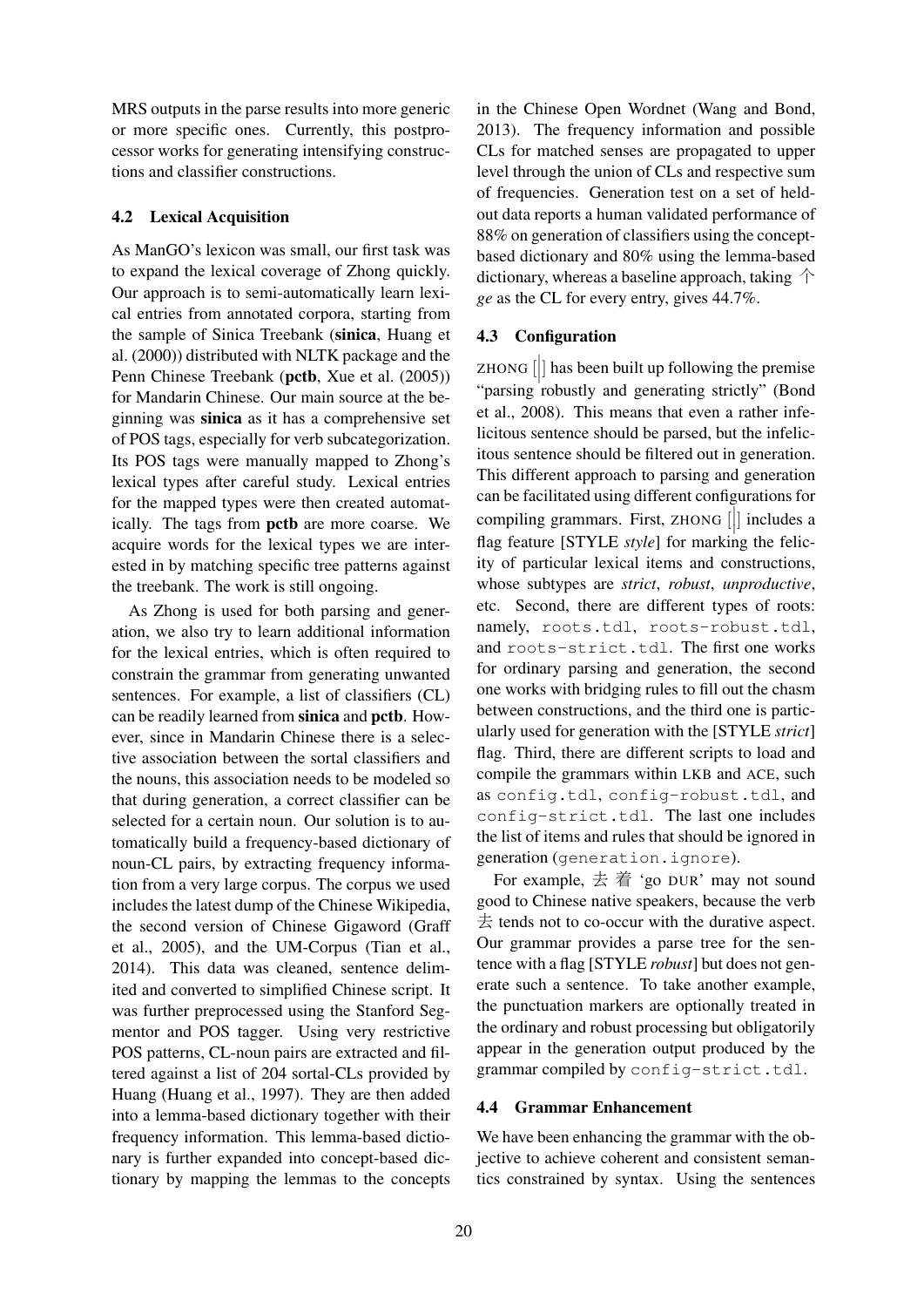MRS outputs in the parse results into more generic or more specific ones. Currently, this postprocessor works for generating intensifying constructions and classifier constructions.

## 4.2 Lexical Acquisition

As ManGO's lexicon was small, our first task was to expand the lexical coverage of Zhong quickly. Our approach is to semi-automatically learn lexical entries from annotated corpora, starting from the sample of Sinica Treebank (sinica, Huang et al. (2000)) distributed with NLTK package and the Penn Chinese Treebank (pctb, Xue et al. (2005)) for Mandarin Chinese. Our main source at the beginning was sinica as it has a comprehensive set of POS tags, especially for verb subcategorization. Its POS tags were manually mapped to Zhong's lexical types after careful study. Lexical entries for the mapped types were then created automatically. The tags from pctb are more coarse. We acquire words for the lexical types we are interested in by matching specific tree patterns against the treebank. The work is still ongoing.

As Zhong is used for both parsing and generation, we also try to learn additional information for the lexical entries, which is often required to constrain the grammar from generating unwanted sentences. For example, a list of classifiers (CL) can be readily learned from sinica and pctb. However, since in Mandarin Chinese there is a selective association between the sortal classifiers and the nouns, this association needs to be modeled so that during generation, a correct classifier can be selected for a certain noun. Our solution is to automatically build a frequency-based dictionary of noun-CL pairs, by extracting frequency information from a very large corpus. The corpus we used includes the latest dump of the Chinese Wikipedia, the second version of Chinese Gigaword (Graff et al., 2005), and the UM-Corpus (Tian et al., 2014). This data was cleaned, sentence delimited and converted to simplified Chinese script. It was further preprocessed using the Stanford Segmentor and POS tagger. Using very restrictive POS patterns, CL-noun pairs are extracted and filtered against a list of 204 sortal-CLs provided by Huang (Huang et al., 1997). They are then added into a lemma-based dictionary together with their frequency information. This lemma-based dictionary is further expanded into concept-based dictionary by mapping the lemmas to the concepts

in the Chinese Open Wordnet (Wang and Bond, 2013). The frequency information and possible CLs for matched senses are propagated to upper level through the union of CLs and respective sum of frequencies. Generation test on a set of heldout data reports a human validated performance of 88% on generation of classifiers using the conceptbased dictionary and 80% using the lemma-based dictionary, whereas a baseline approach, taking 个 *ge* as the CL for every entry, gives 44.7%.

## 4.3 Configuration

ZHONG  $\left|\right|$  has been built up following the premise "parsing robustly and generating strictly" (Bond et al., 2008). This means that even a rather infelicitous sentence should be parsed, but the infelicitous sentence should be filtered out in generation. This different approach to parsing and generation can be facilitated using different configurations for compiling grammars. First, ZHONG  $\begin{bmatrix} \end{bmatrix}$  includes a flag feature [STYLE *style*] for marking the felicity of particular lexical items and constructions, whose subtypes are *strict*, *robust*, *unproductive*, etc. Second, there are different types of roots: namely, roots.tdl, roots-robust.tdl, and roots-strict.tdl. The first one works for ordinary parsing and generation, the second one works with bridging rules to fill out the chasm between constructions, and the third one is particularly used for generation with the [STYLE *strict*] flag. Third, there are different scripts to load and compile the grammars within LKB and ACE, such as config.tdl, config-robust.tdl, and config-strict.tdl. The last one includes the list of items and rules that should be ignored in generation (generation.ignore).

For example, 去 着 'go DUR' may not sound good to Chinese native speakers, because the verb 去 tends not to co-occur with the durative aspect. Our grammar provides a parse tree for the sentence with a flag [STYLE *robust*] but does not generate such a sentence. To take another example, the punctuation markers are optionally treated in the ordinary and robust processing but obligatorily appear in the generation output produced by the grammar compiled by config-strict.tdl.

## 4.4 Grammar Enhancement

We have been enhancing the grammar with the objective to achieve coherent and consistent semantics constrained by syntax. Using the sentences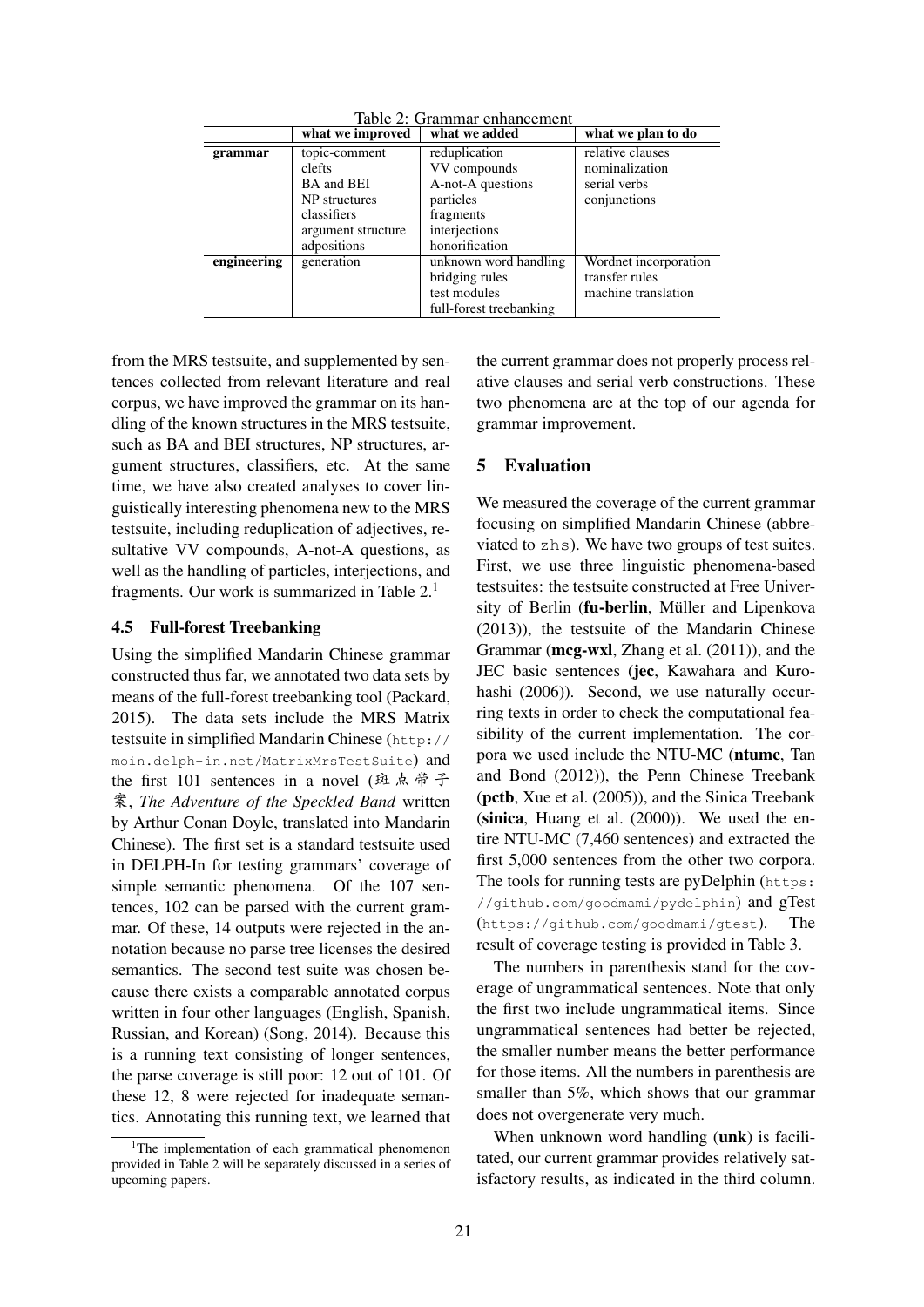|             | what we improved   | Table 2: Grammar enhancement<br>what we added | what we plan to do    |  |
|-------------|--------------------|-----------------------------------------------|-----------------------|--|
| grammar     | topic-comment      | reduplication                                 | relative clauses      |  |
|             | clefts             | VV compounds                                  | nominalization        |  |
|             | BA and BEI         | A-not-A questions                             | serial verbs          |  |
|             | NP structures      | particles                                     | conjunctions          |  |
|             | classifiers        | fragments                                     |                       |  |
|             | argument structure | interjections                                 |                       |  |
|             | adpositions        | honorification                                |                       |  |
| engineering | generation         | unknown word handling                         | Wordnet incorporation |  |
|             |                    | bridging rules                                | transfer rules        |  |
|             |                    | test modules<br>machine translation           |                       |  |
|             |                    | full-forest treebanking                       |                       |  |

from the MRS testsuite, and supplemented by sentences collected from relevant literature and real corpus, we have improved the grammar on its handling of the known structures in the MRS testsuite, such as BA and BEI structures, NP structures, argument structures, classifiers, etc. At the same time, we have also created analyses to cover linguistically interesting phenomena new to the MRS testsuite, including reduplication of adjectives, resultative VV compounds, A-not-A questions, as well as the handling of particles, interjections, and fragments. Our work is summarized in Table  $2<sup>1</sup>$ 

## 4.5 Full-forest Treebanking

Using the simplified Mandarin Chinese grammar constructed thus far, we annotated two data sets by means of the full-forest treebanking tool (Packard, 2015). The data sets include the MRS Matrix testsuite in simplified Mandarin Chinese (http:// moin.delph-in.net/MatrixMrsTestSuite) and the first 101 sentences in a novel (斑点带子 案, *The Adventure of the Speckled Band* written by Arthur Conan Doyle, translated into Mandarin Chinese). The first set is a standard testsuite used in DELPH-In for testing grammars' coverage of simple semantic phenomena. Of the 107 sentences, 102 can be parsed with the current grammar. Of these, 14 outputs were rejected in the annotation because no parse tree licenses the desired semantics. The second test suite was chosen because there exists a comparable annotated corpus written in four other languages (English, Spanish, Russian, and Korean) (Song, 2014). Because this is a running text consisting of longer sentences, the parse coverage is still poor: 12 out of 101. Of these 12, 8 were rejected for inadequate semantics. Annotating this running text, we learned that

<sup>1</sup>The implementation of each grammatical phenomenon provided in Table 2 will be separately discussed in a series of upcoming papers.

the current grammar does not properly process relative clauses and serial verb constructions. These two phenomena are at the top of our agenda for grammar improvement.

#### 5 Evaluation

We measured the coverage of the current grammar focusing on simplified Mandarin Chinese (abbreviated to zhs). We have two groups of test suites. First, we use three linguistic phenomena-based testsuites: the testsuite constructed at Free University of Berlin (fu-berlin, Müller and Lipenkova (2013)), the testsuite of the Mandarin Chinese Grammar (mcg-wxl, Zhang et al. (2011)), and the JEC basic sentences (jec, Kawahara and Kurohashi (2006)). Second, we use naturally occurring texts in order to check the computational feasibility of the current implementation. The corpora we used include the NTU-MC (ntumc, Tan and Bond (2012)), the Penn Chinese Treebank (pctb, Xue et al. (2005)), and the Sinica Treebank (sinica, Huang et al. (2000)). We used the entire NTU-MC (7,460 sentences) and extracted the first 5,000 sentences from the other two corpora. The tools for running tests are pyDelphin (https: //github.com/goodmami/pydelphin) and gTest (https://github.com/goodmami/gtest). The result of coverage testing is provided in Table 3.

The numbers in parenthesis stand for the coverage of ungrammatical sentences. Note that only the first two include ungrammatical items. Since ungrammatical sentences had better be rejected, the smaller number means the better performance for those items. All the numbers in parenthesis are smaller than 5%, which shows that our grammar does not overgenerate very much.

When unknown word handling (**unk**) is facilitated, our current grammar provides relatively satisfactory results, as indicated in the third column.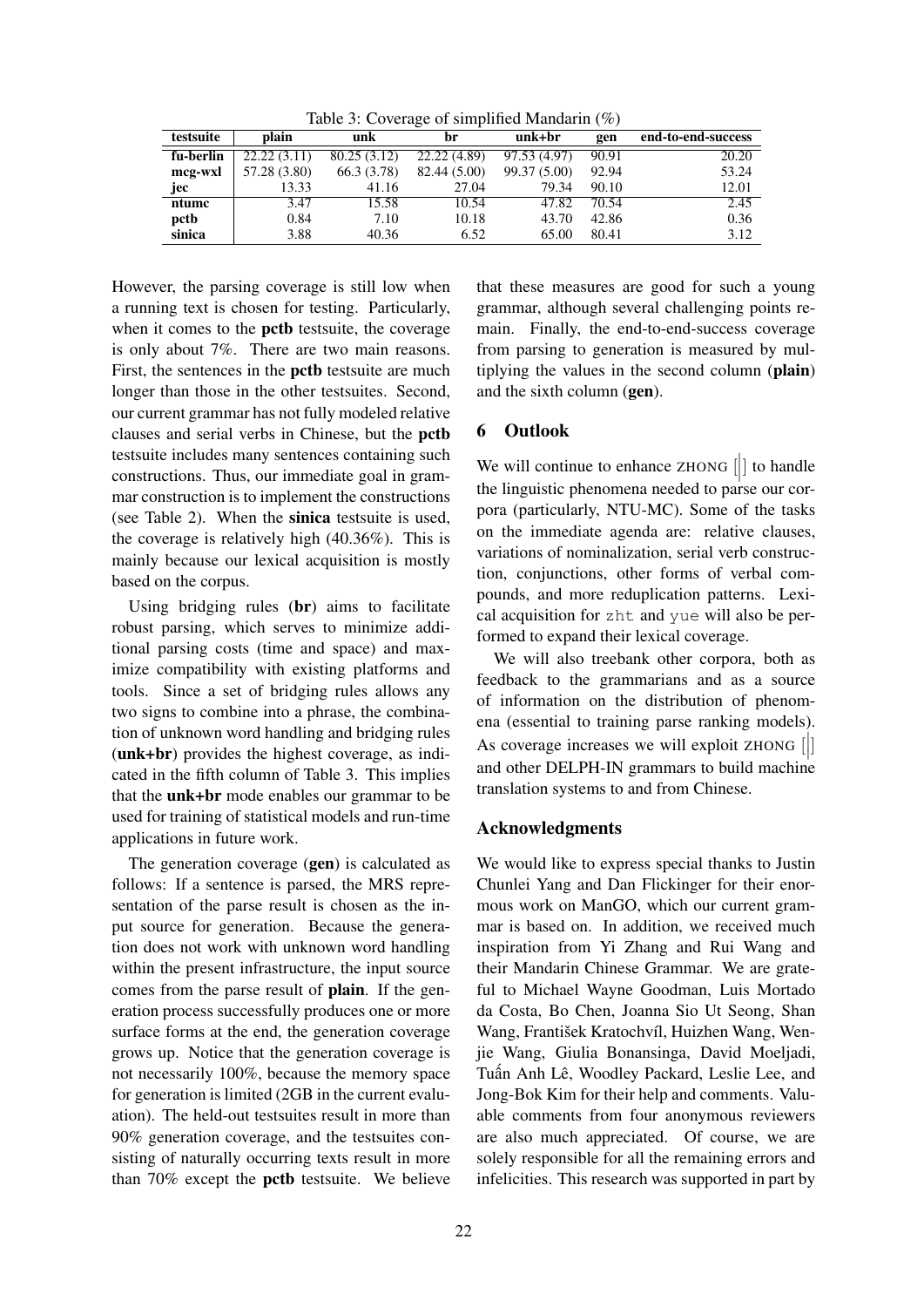Table 3: Coverage of simplified Mandarin (%)

| testsuite | plain        | unk          | br           | $unk+br$     | gen   | end-to-end-success |
|-----------|--------------|--------------|--------------|--------------|-------|--------------------|
| fu-berlin | 22.22(3.11)  | 80.25 (3.12) | 22.22 (4.89) | 97.53 (4.97) | 90.91 | 20.20              |
| mcg-wxl   | 57.28 (3.80) | 66.3 (3.78)  | 82.44 (5.00) | 99.37 (5.00) | 92.94 | 53.24              |
| jec       | 13.33        | 41.16        | 27.04        | 79.34        | 90.10 | 12.01              |
| ntume     | 3.47         | 15.58        | 10.54        | 47.82        | 70.54 | 2.45               |
| pctb      | 0.84         | 7.10         | 10.18        | 43.70        | 42.86 | 0.36               |
| sinica    | 3.88         | 40.36        | 6.52         | 65.00        | 80.41 | 3.12               |

However, the parsing coverage is still low when a running text is chosen for testing. Particularly, when it comes to the **pctb** testsuite, the coverage is only about 7%. There are two main reasons. First, the sentences in the pctb testsuite are much longer than those in the other testsuites. Second, our current grammar has not fully modeled relative clauses and serial verbs in Chinese, but the pctb testsuite includes many sentences containing such constructions. Thus, our immediate goal in grammar construction is to implement the constructions (see Table 2). When the sinica testsuite is used, the coverage is relatively high (40.36%). This is mainly because our lexical acquisition is mostly based on the corpus.

Using bridging rules (br) aims to facilitate robust parsing, which serves to minimize additional parsing costs (time and space) and maximize compatibility with existing platforms and tools. Since a set of bridging rules allows any two signs to combine into a phrase, the combination of unknown word handling and bridging rules (unk+br) provides the highest coverage, as indicated in the fifth column of Table 3. This implies that the unk+br mode enables our grammar to be used for training of statistical models and run-time applications in future work.

The generation coverage (gen) is calculated as follows: If a sentence is parsed, the MRS representation of the parse result is chosen as the input source for generation. Because the generation does not work with unknown word handling within the present infrastructure, the input source comes from the parse result of plain. If the generation process successfully produces one or more surface forms at the end, the generation coverage grows up. Notice that the generation coverage is not necessarily 100%, because the memory space for generation is limited (2GB in the current evaluation). The held-out testsuites result in more than 90% generation coverage, and the testsuites consisting of naturally occurring texts result in more than 70% except the pctb testsuite. We believe

that these measures are good for such a young grammar, although several challenging points remain. Finally, the end-to-end-success coverage from parsing to generation is measured by multiplying the values in the second column (plain) and the sixth column (gen).

## 6 Outlook

We will continue to enhance  $ZHONG$   $[$  $]$  to handle the linguistic phenomena needed to parse our corpora (particularly, NTU-MC). Some of the tasks on the immediate agenda are: relative clauses, variations of nominalization, serial verb construction, conjunctions, other forms of verbal compounds, and more reduplication patterns. Lexical acquisition for zht and yue will also be performed to expand their lexical coverage.

We will also treebank other corpora, both as feedback to the grammarians and as a source of information on the distribution of phenomena (essential to training parse ranking models). As coverage increases we will exploit ZHONG  $[$ and other DELPH-IN grammars to build machine translation systems to and from Chinese.

#### Acknowledgments

We would like to express special thanks to Justin Chunlei Yang and Dan Flickinger for their enormous work on ManGO, which our current grammar is based on. In addition, we received much inspiration from Yi Zhang and Rui Wang and their Mandarin Chinese Grammar. We are grateful to Michael Wayne Goodman, Luis Mortado da Costa, Bo Chen, Joanna Sio Ut Seong, Shan Wang, František Kratochvíl, Huizhen Wang, Wenjie Wang, Giulia Bonansinga, David Moeljadi, Tuấn Anh Lê, Woodley Packard, Leslie Lee, and Jong-Bok Kim for their help and comments. Valuable comments from four anonymous reviewers are also much appreciated. Of course, we are solely responsible for all the remaining errors and infelicities. This research was supported in part by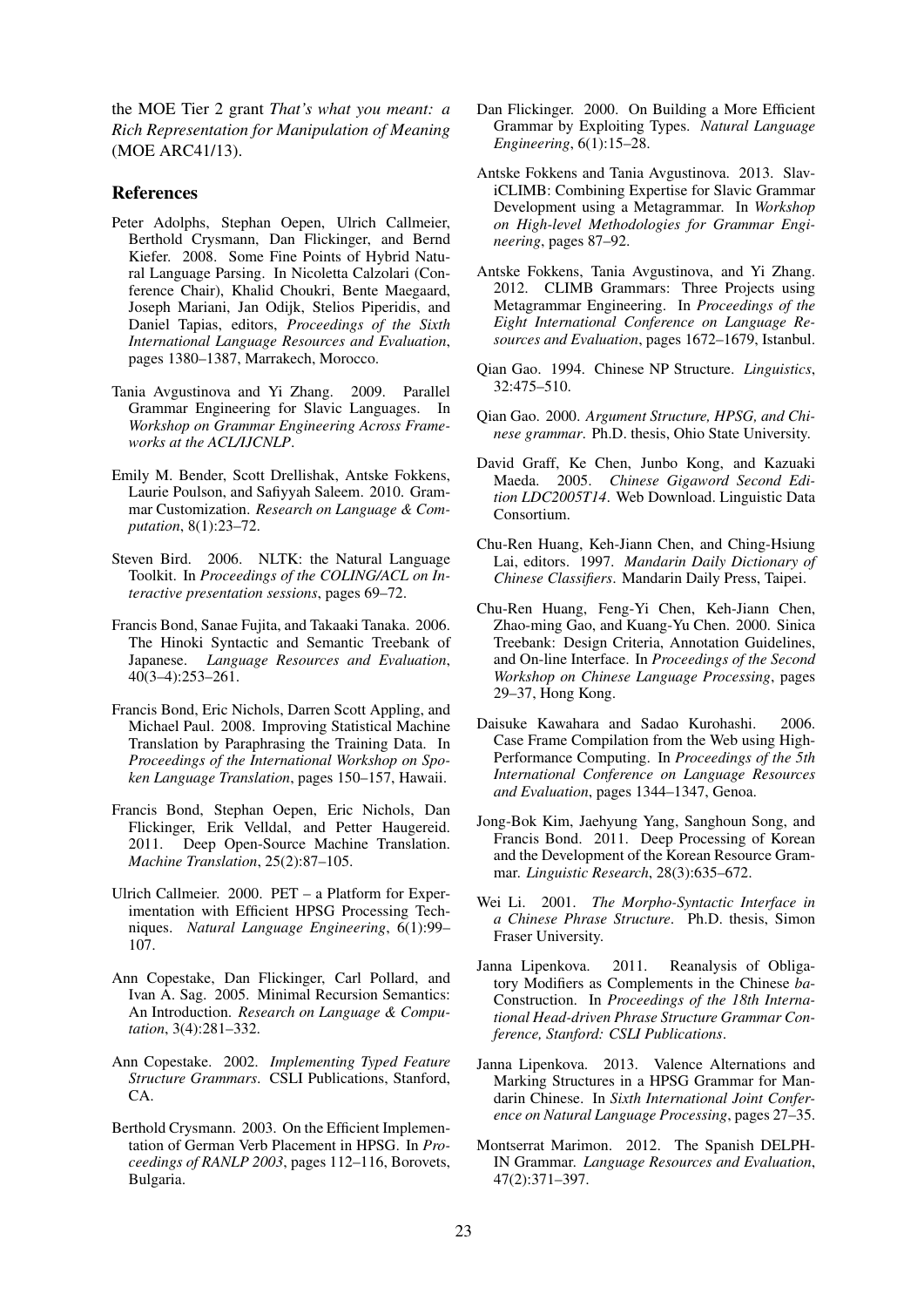the MOE Tier 2 grant *That's what you meant: a Rich Representation for Manipulation of Meaning* (MOE ARC41/13).

#### References

- Peter Adolphs, Stephan Oepen, Ulrich Callmeier, Berthold Crysmann, Dan Flickinger, and Bernd Kiefer. 2008. Some Fine Points of Hybrid Natural Language Parsing. In Nicoletta Calzolari (Conference Chair), Khalid Choukri, Bente Maegaard, Joseph Mariani, Jan Odijk, Stelios Piperidis, and Daniel Tapias, editors, *Proceedings of the Sixth International Language Resources and Evaluation*, pages 1380–1387, Marrakech, Morocco.
- Tania Avgustinova and Yi Zhang. 2009. Parallel Grammar Engineering for Slavic Languages. In *Workshop on Grammar Engineering Across Frameworks at the ACL/IJCNLP*.
- Emily M. Bender, Scott Drellishak, Antske Fokkens, Laurie Poulson, and Safiyyah Saleem. 2010. Grammar Customization. *Research on Language & Computation*, 8(1):23–72.
- Steven Bird. 2006. NLTK: the Natural Language Toolkit. In *Proceedings of the COLING/ACL on Interactive presentation sessions*, pages 69–72.
- Francis Bond, Sanae Fujita, and Takaaki Tanaka. 2006. The Hinoki Syntactic and Semantic Treebank of Japanese. *Language Resources and Evaluation*, 40(3–4):253–261.
- Francis Bond, Eric Nichols, Darren Scott Appling, and Michael Paul. 2008. Improving Statistical Machine Translation by Paraphrasing the Training Data. In *Proceedings of the International Workshop on Spoken Language Translation*, pages 150–157, Hawaii.
- Francis Bond, Stephan Oepen, Eric Nichols, Dan Flickinger, Erik Velldal, and Petter Haugereid. 2011. Deep Open-Source Machine Translation. *Machine Translation*, 25(2):87–105.
- Ulrich Callmeier. 2000. PET a Platform for Experimentation with Efficient HPSG Processing Techniques. *Natural Language Engineering*, 6(1):99– 107.
- Ann Copestake, Dan Flickinger, Carl Pollard, and Ivan A. Sag. 2005. Minimal Recursion Semantics: An Introduction. *Research on Language & Computation*, 3(4):281–332.
- Ann Copestake. 2002. *Implementing Typed Feature Structure Grammars*. CSLI Publications, Stanford, CA.
- Berthold Crysmann. 2003. On the Efficient Implementation of German Verb Placement in HPSG. In *Proceedings of RANLP 2003*, pages 112–116, Borovets, Bulgaria.
- Dan Flickinger. 2000. On Building a More Efficient Grammar by Exploiting Types. *Natural Language Engineering*, 6(1):15–28.
- Antske Fokkens and Tania Avgustinova. 2013. SlaviCLIMB: Combining Expertise for Slavic Grammar Development using a Metagrammar. In *Workshop on High-level Methodologies for Grammar Engineering*, pages 87–92.
- Antske Fokkens, Tania Avgustinova, and Yi Zhang. 2012. CLIMB Grammars: Three Projects using Metagrammar Engineering. In *Proceedings of the Eight International Conference on Language Resources and Evaluation*, pages 1672–1679, Istanbul.
- Qian Gao. 1994. Chinese NP Structure. *Linguistics*, 32:475–510.
- Qian Gao. 2000. *Argument Structure, HPSG, and Chinese grammar*. Ph.D. thesis, Ohio State University.
- David Graff, Ke Chen, Junbo Kong, and Kazuaki Maeda. 2005. *Chinese Gigaword Second Edition LDC2005T14*. Web Download. Linguistic Data Consortium.
- Chu-Ren Huang, Keh-Jiann Chen, and Ching-Hsiung Lai, editors. 1997. *Mandarin Daily Dictionary of Chinese Classifiers*. Mandarin Daily Press, Taipei.
- Chu-Ren Huang, Feng-Yi Chen, Keh-Jiann Chen, Zhao-ming Gao, and Kuang-Yu Chen. 2000. Sinica Treebank: Design Criteria, Annotation Guidelines, and On-line Interface. In *Proceedings of the Second Workshop on Chinese Language Processing*, pages 29–37, Hong Kong.
- Daisuke Kawahara and Sadao Kurohashi. 2006. Case Frame Compilation from the Web using High-Performance Computing. In *Proceedings of the 5th International Conference on Language Resources and Evaluation*, pages 1344–1347, Genoa.
- Jong-Bok Kim, Jaehyung Yang, Sanghoun Song, and Francis Bond. 2011. Deep Processing of Korean and the Development of the Korean Resource Grammar. *Linguistic Research*, 28(3):635–672.
- Wei Li. 2001. *The Morpho-Syntactic Interface in a Chinese Phrase Structure*. Ph.D. thesis, Simon Fraser University.
- Janna Lipenkova. 2011. Reanalysis of Obligatory Modifiers as Complements in the Chinese *ba*-Construction. In *Proceedings of the 18th International Head-driven Phrase Structure Grammar Conference, Stanford: CSLI Publications*.
- Janna Lipenkova. 2013. Valence Alternations and Marking Structures in a HPSG Grammar for Mandarin Chinese. In *Sixth International Joint Conference on Natural Language Processing*, pages 27–35.
- Montserrat Marimon. 2012. The Spanish DELPH-IN Grammar. *Language Resources and Evaluation*, 47(2):371–397.